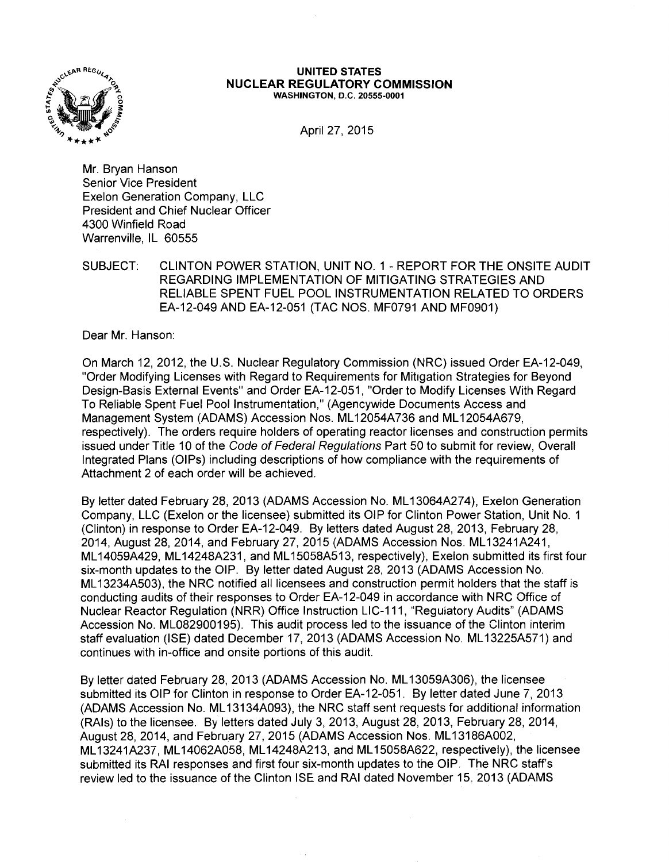

#### UNITED STATES NUCLEAR REGULATORY COMMISSION WASHINGTON, D.C. 20555-0001

April 27, 2015

Mr. Bryan Hanson Senior Vice President Exelon Generation Company, LLC President and Chief Nuclear Officer 4300 Winfield Road Warrenville, IL 60555

SUBJECT: CLINTON POWER STATION, UNIT NO. 1 - REPORT FOR THE ONSITE AUDIT REGARDING IMPLEMENTATION OF MITIGATING STRATEGIES AND RELIABLE SPENT FUEL POOL INSTRUMENTATION RELATED TO ORDERS EA-12-049 AND EA-12-051 (TAC NOS. MF0791 AND MF0901)

Dear Mr. Hanson:

On March 12, 2012, the U.S. Nuclear Regulatory Commission (NRC) issued Order EA-12-049, "Order Modifying Licenses with Regard to Requirements for Mitigation Strategies for Beyond Design-Basis External Events" and Order EA-12-051, "Order to Modify Licenses With Regard To Reliable Spent Fuel Pool Instrumentation," (Agencywide Documents Access and Management System (ADAMS) Accession Nos. ML 12054A736 and ML 12054A679, respectively). The orders require holders of operating reactor licenses and construction permits issued under Title 10 of the Code of Federal Regulations Part 50 to submit for review, Overall Integrated Plans (OIPs) including descriptions of how compliance with the requirements of Attachment 2 of each order will be achieved.

By letter dated February 28, 2013 (ADAMS Accession No. ML 13064A274), Exelon Generation Company, LLC (Exelon or the licensee) submitted its OIP for Clinton Power Station, Unit No. 1 (Clinton) in response to Order EA-12-049. By letters dated August 28, 2013, February 28, 2014, August 28, 2014, and February 27, 2015 (ADAMS Accession Nos. ML13241A241, ML 14059A429, ML 14248A231, and ML 15058A513, respectively), Exelon submitted its first four six-month updates to the OIP. By letter dated August 28, 2013 (ADAMS Accession No. ML 13234A503), the NRC notified all licensees and construction permit holders that the staff is conducting audits of their responses to Order EA-12-049 in accordance with NRC Office of Nuclear Reactor Regulation (NRR) Office Instruction LIC-111, ''Regulatory Audits" (ADAMS Accession No. ML082900195). This audit process led to the issuance of the Clinton interim staff evaluation (ISE) dated December 17, 2013 (ADAMS Accession No. ML 13225A571) and continues with in-office and onsite portions of this audit.

By letter dated February 28, 2013 (ADAMS Accession No. ML 13059A306), the licensee submitted its OIP for Clinton in response to Order EA-12-051. By letter dated June 7, 2013 (ADAMS Accession No. ML 13134A093), the NRC staff sent requests for additional information (RAls) to the licensee. By letters dated July 3, 2013, August 28, 2013, February 28, 2014, August 28, 2014, and February 27, 2015 (ADAMS Accession Nos. ML 13186A002, ML 13241A237, ML 14062A058, ML 14248A213, and ML 15058A622, respectively), the licensee submitted its RAI responses and first four six-month updates to the OIP. The NRC staff's review led to the issuance of the Clinton ISE and RAI dated November 15, 2013 (ADAMS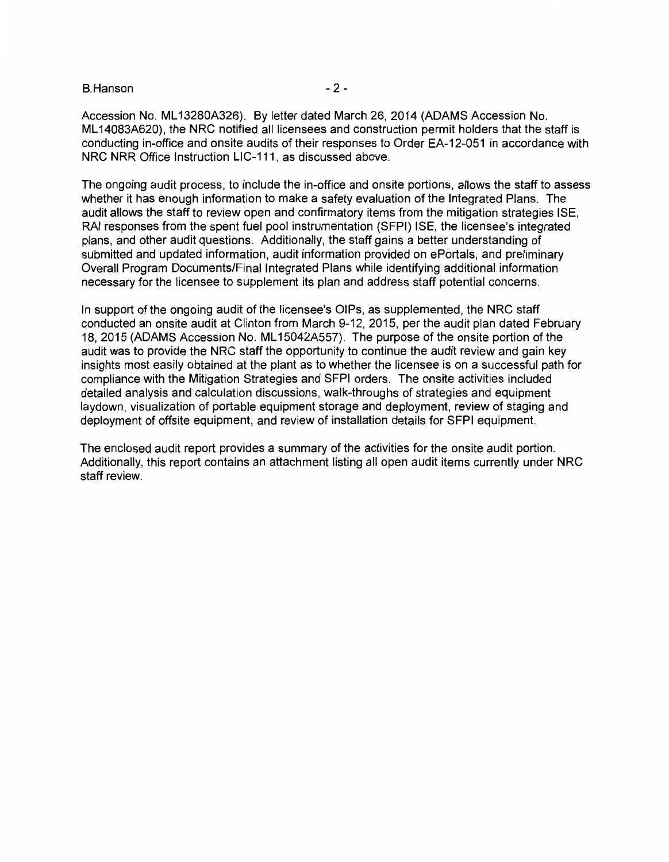B.Hanson - 2 -

Accession No. ML 13280A326). By letter dated March 26, 2014 (ADAMS Accession No. ML 14083A620), the NRC notified all licensees and construction permit holders that the staff is conducting in-office and onsite audits of their responses to Order EA-12-051 in accordance with NRC NRR Office Instruction LIC-111, as discussed above.

The ongoing audit process, to include the in-office and onsite portions, allows the staff to assess whether it has enough information to make a safety evaluation of the Integrated Plans. The audit allows the staff to review open and confirmatory items from the mitigation strategies ISE, RAI responses from the spent fuel pool instrumentation (SFPI) ISE, the licensee's integrated plans, and other audit questions. Additionally, the staff gains a better understanding of submitted and updated information, audit information provided on ePortals, and preliminary Overall Program Documents/Final Integrated Plans while identifying additional information necessary for the licensee to supplement its plan and address staff potential concerns.

In support of the ongoing audit of the licensee's OIPs, as supplemented, the NRC staff conducted an onsite audit at Clinton from March 9-12, 2015, per the audit plan dated February 18, 2015 (ADAMS Accession No. ML 15042A557). The purpose of the onsite portion of the audit was to provide the NRC staff the opportunity to continue the audit review and gain key insights most easily obtained at the plant as to whether the licensee is on a successful path for compliance with the Mitigation Strategies and SFPI orders. The onsite activities included detailed analysis and calculation discussions, walk-throughs of strategies and equipment laydown, visualization of portable equipment storage and deployment, review of staging and deployment of offsite equipment, and review of installation details for SFPI equipment.

The enclosed audit report provides a summary of the activities for the onsite audit portion. Additionally, this report contains an attachment listing all open audit items currently under NRC staff review.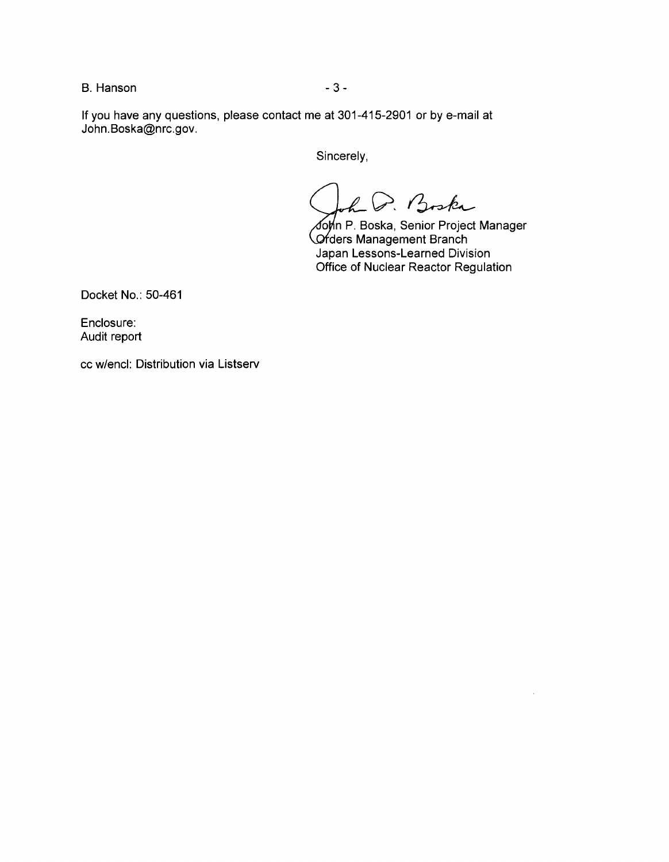B. Hanson - 3 -

If you have any questions, please contact me at 301-415-2901 or by e-mail at John.Boska@nrc.gov.

Sincerely,

D. Boska

⊿op⁄n P. Boska, Senior Project Manager **C**rders Management Branch Japan Lessons-Learned Division Office of Nuclear Reactor Regulation

Docket No.: 50-461

Enclosure: Audit report

cc w/encl: Distribution via Listserv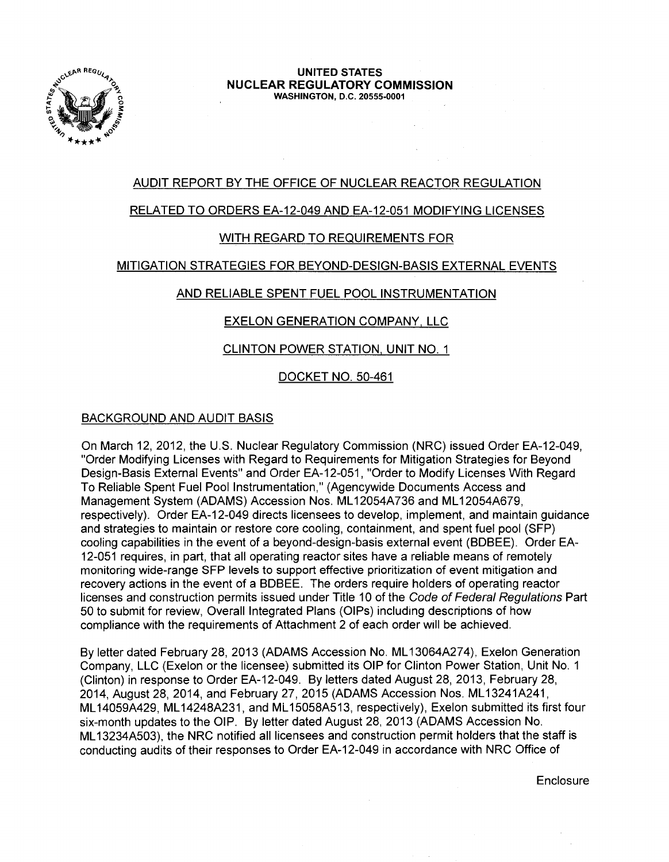

#### UNITED STATES NUCLEAR REGULATORY COMMISSION WASHINGTON, D.C. 20555-0001

## AUDIT REPORT BY THE OFFICE OF NUCLEAR REACTOR REGULATION

### RELATED TO ORDERS EA-12-049 AND EA-12-051 MODIFYING LICENSES

## WITH REGARD TO REQUIREMENTS FOR

#### MITIGATION STRATEGIES FOR BEYOND-DESIGN-BASIS EXTERNAL EVENTS

#### AND RELIABLE SPENT FUEL POOL INSTRUMENTATION

#### EXELON GENERATION COMPANY, LLC

#### CLINTON POWER STATION, UNIT NO. 1

#### DOCKET NO. 50-461

#### BACKGROUND AND AUDIT BASIS

On March 12, 2012, the U.S. Nuclear Regulatory Commission (NRC) issued Order EA-12-049, "Order Modifying Licenses with Regard to Requirements for Mitigation Strategies for Beyond Design-Basis External Events" and Order EA-12-051, "Order to Modify Licenses With Regard To Reliable Spent Fuel Pool Instrumentation," (Agencywide Documents Access and Management System (ADAMS) Accession Nos. ML 12054A736 and ML 12054A679, respectively). Order EA-12-049 directs licensees to develop, implement, and maintain guidance and strategies to maintain or restore core cooling, containment, and spent fuel pool (SFP) cooling capabilities in the event of a beyond-design-basis external event (BDBEE). Order EA-12-051 requires, in part, that all operating reactor sites have a reliable means of remotely monitoring wide-range SFP levels to support effective prioritization of event mitigation and recovery actions in the event of a BDBEE. The orders require holders of operating reactor licenses and construction permits issued under Title 10 of the Code of Federal Regulations Part 50 to submit for review, Overall Integrated Plans (OIPs) including descriptions of how compliance with the requirements of Attachment 2 of each order will be achieved.

By letter dated February 28, 2013 (ADAMS Accession No. ML 13064A274), Exelon Generation Company, LLC (Exelon or the licensee) submitted its OIP for Clinton Power Station, Unit No. 1 (Clinton) in response to Order EA-12-049. By letters dated August 28, 2013, February 28, 2014, August 28, 2014, and February 27, 2015 (ADAMS Accession Nos. ML13241A241, ML 14059A429, ML 14248A231, and ML 15058A513, respectively), Exelon submitted its first four six-month updates to the OIP. By letter dated August 28, 2013 (ADAMS Accession No. ML 13234A503), the NRC notified all licensees and construction permit holders that the staff is conducting audits of their responses to Order EA-12-049 in accordance with NRC Office of

**Enclosure**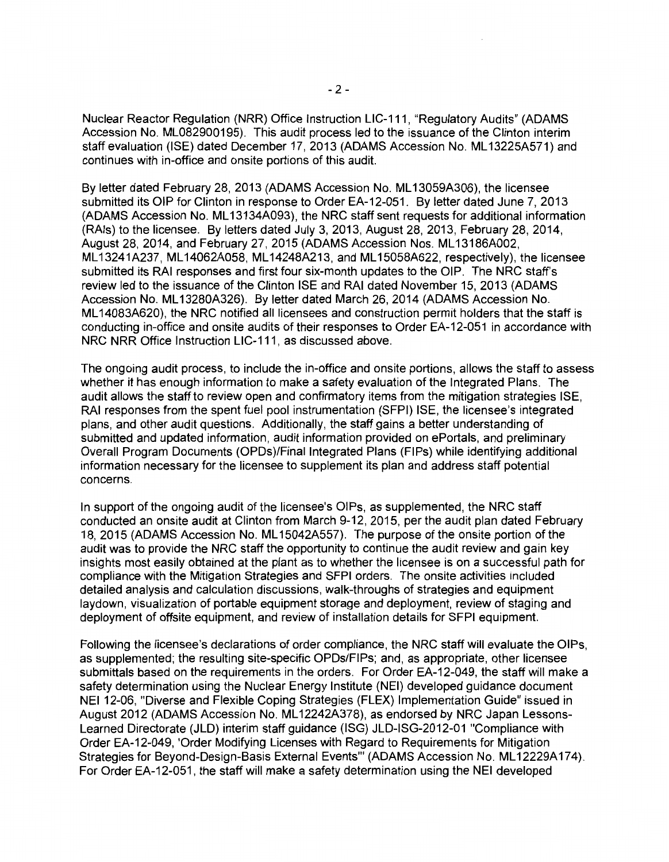Nuclear Reactor Regulation (NRR) Office Instruction LIC-111, "Regulatory Audits" (ADAMS Accession No. ML082900195). This audit process led to the issuance of the Clinton interim staff evaluation (ISE) dated December 17, 2013 (ADAMS Accession No. ML 13225A571) and continues with in-office and onsite portions of this audit.

By letter dated February 28, 2013 (ADAMS Accession No. ML 13059A306), the licensee submitted its OIP for Clinton in response to Order EA-12-051. By letter dated June 7, 2013 (ADAMS Accession No. ML 13134A093), the NRC staff sent requests for additional information (RAls) to the licensee. By letters dated July 3, 2013, August 28, 2013, February 28, 2014, August 28, 2014, and February 27, 2015 (ADAMS Accession Nos. ML13186A002, ML 13241A237, ML 14062A058, ML 14248A213, and ML 15058A622, respectively), the licensee submitted its RAI responses and first four six-month updates to the OIP. The NRC staff's review led to the issuance of the Clinton ISE and RAI dated November 15, 2013 (ADAMS Accession No. ML 13280A326). By letter dated March 26, 2014 (ADAMS Accession No. ML 14083A620), the NRC notified all licensees and construction permit holders that the staff is conducting in-office and onsite audits of their responses to Order EA-12-051 in accordance with NRC NRR Office Instruction LIC-111, as discussed above.

The ongoing audit process, to include the in-office and onsite portions, allows the staff to assess whether it has enough information to make a safety evaluation of the Integrated Plans. The audit allows the staff to review open and confirmatory items from the mitigation strategies ISE, RAI responses from the spent fuel pool instrumentation (SFPI) ISE, the licensee's integrated plans, and other audit questions. Additionally, the staff gains a better understanding of submitted and updated information, audit information provided on ePortals, and preliminary Overall Program Documents (OPDs)/Final Integrated Plans (FIPs) while identifying additional information necessary for the licensee to supplement its plan and address staff potential concerns.

In support of the ongoing audit of the licensee's OIPs, as supplemented, the NRC staff conducted an onsite audit at Clinton from March 9-12, 2015, per the audit plan dated February 18, 2015 (ADAMS Accession No. ML 15042A557). The purpose of the onsite portion of the audit was to provide the NRC staff the opportunity to continue the audit review and gain key insights most easily obtained at the plant as to whether the licensee is on a successful path for compliance with the Mitigation Strategies and SFPI orders. The onsite activities included detailed analysis and calculation discussions, walk-throughs of strategies and equipment laydown, visualization of portable equipment storage and deployment, review of staging and deployment of offsite equipment, and review of installation details for SFPI equipment.

Following the licensee's declarations of order compliance, the NRC staff will evaluate the OIPs, as supplemented; the resulting site-specific OPDs/FIPs; and, as appropriate, other licensee submittals based on the requirements in the orders. For Order EA-12-049, the staff will make a safety determination using the Nuclear Energy Institute (NEI) developed guidance document NEI 12-06, "Diverse and Flexible Coping Strategies (FLEX) Implementation Guide" issued in August 2012 (ADAMS Accession No. ML 12242A378), as endorsed by NRC Japan Lessons-Learned Directorate (JLD) interim staff guidance (ISG) JLD-ISG-2012-01 "Compliance with Order EA-12-049, 'Order Modifying Licenses with Regard to Requirements for Mitigation Strategies for Beyond-Design-Basis External Events" (ADAMS Accession No. ML12229A174). For Order EA-12-051, the staff will make a safety determination using the NEI developed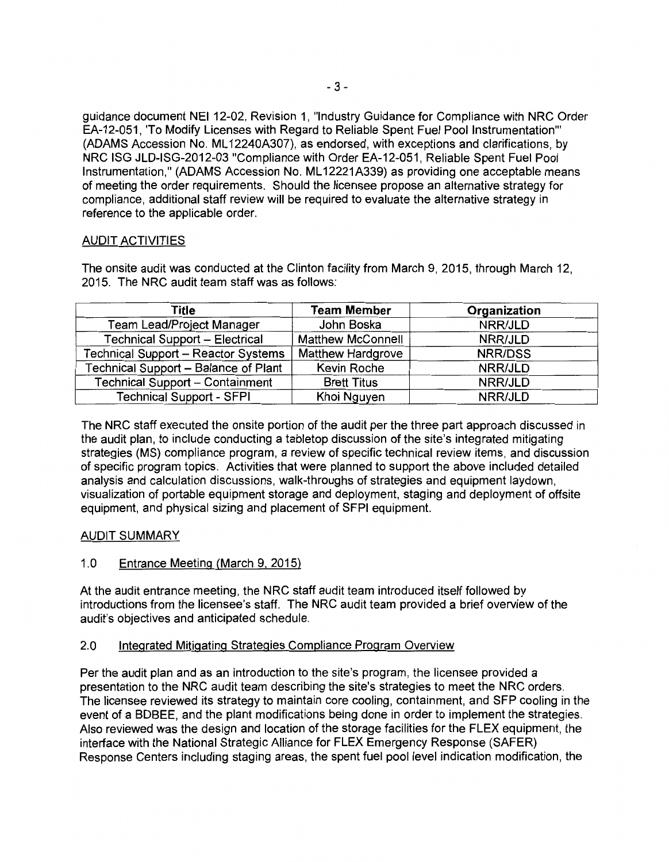guidance document NEI 12-02, Revision 1, "Industry Guidance for Compliance with NRC Order EA-12-051, 'To Modify Licenses with Regard to Reliable Spent Fuel Pool Instrumentation"' (ADAMS Accession No. ML 12240A307}, as endorsed, with exceptions and clarifications, by NRC ISG JLD-ISG-2012-03 "Compliance with Order EA-12-051, Reliable Spent Fuel Pool Instrumentation," (ADAMS Accession No. ML 12221A339) as providing one acceptable means of meeting the order requirements. Should the licensee propose an alternative strategy for compliance, additional staff review will be required to evaluate the alternative strategy in reference to the applicable order.

#### AUDIT ACTIVITIES

The onsite audit was conducted at the Clinton facility from March 9, 2015, through March 12, 2015. The NRC audit team staff was as follows:

| Title                                 | <b>Team Member</b>       | Organization |
|---------------------------------------|--------------------------|--------------|
| Team Lead/Project Manager             | John Boska               | NRR/JLD      |
| <b>Technical Support - Electrical</b> | <b>Matthew McConnell</b> | NRR/JLD      |
| Technical Support - Reactor Systems   | <b>Matthew Hardgrove</b> | NRR/DSS      |
| Technical Support - Balance of Plant  | Kevin Roche              | NRR/JLD      |
| Technical Support - Containment       | <b>Brett Titus</b>       | NRR/JLD      |
| <b>Technical Support - SFPI</b>       | Khoi Nguyen              | NRR/JLD      |

The NRC staff executed the onsite portion of the audit per the three part approach discussed in the audit plan, to include conducting a tabletop discussion of the site's integrated mitigating strategies (MS) compliance program, a review of specific technical review items, and discussion of specific program topics. Activities that were planned to support the above included detailed analysis and calculation discussions, walk-throughs of strategies and equipment laydown, visualization of portable equipment storage and deployment, staging and deployment of offsite equipment, and physical sizing and placement of SFPI equipment.

## AUDIT SUMMARY

## 1.0 Entrance Meeting (March 9. 2015)

At the audit entrance meeting, the NRC staff audit team introduced itself followed by introductions from the licensee's staff. The NRC audit team provided a brief overview of the audit's objectives and anticipated schedule.

#### 2.0 Integrated Mitigating Strategies Compliance Program Overview

Per the audit plan and as an introduction to the site's program, the licensee provided a presentation to the NRC audit team describing the site's strategies to meet the NRC orders. The licensee reviewed its strategy to maintain core cooling, containment, and SFP cooling in the event of a BDBEE, and the plant modifications being done in order to implement the strategies. Also reviewed was the design and location of the storage facilities for the FLEX equipment, the interface with the National Strategic Alliance for FLEX Emergency Response (SAFER) Response Centers including staging areas, the spent fuel pool level indication modification, the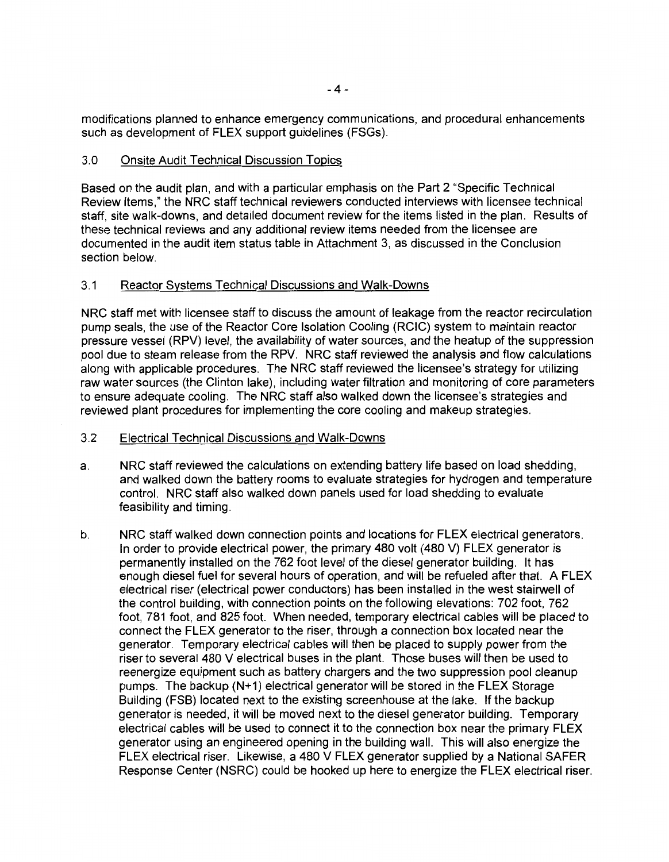modifications planned to enhance emergency communications, and procedural enhancements such as development of FLEX support guidelines (FSGs).

#### 3.0 Onsite Audit Technical Discussion Topics

Based on the audit plan, and with a particular emphasis on the Part 2 "Specific Technical Review Items," the NRC staff technical reviewers conducted interviews with licensee technical staff, site walk-downs, and detailed document review for the items listed in the plan. Results of these technical reviews and any additional review items needed from the licensee are documented in the audit item status table in Attachment 3, as discussed in the Conclusion section below.

### 3.1 Reactor Systems Technical Discussions and Walk-Downs

NRC staff met with licensee staff to discuss the amount of leakage from the reactor recirculation pump seals, the use of the Reactor Core Isolation Cooling (RCIC) system to maintain reactor pressure vessel (RPV) level, the availability of water sources, and the heatup of the suppression pool due to steam release from the RPV. NRC staff reviewed the analysis and flow calculations along with applicable procedures. The NRC staff reviewed the licensee's strategy for utilizing raw water sources (the Clinton lake), including water filtration and monitoring of core parameters to ensure adequate cooling. The NRC staff also walked down the licensee's strategies and reviewed plant procedures for implementing the core cooling and makeup strategies.

### 3.2 Electrical Technical Discussions and Walk-Downs

- a. NRC staff reviewed the calculations on extending battery life based on load shedding, and walked down the battery rooms to evaluate strategies for hydrogen and temperature control. NRC staff also walked down panels used for load shedding to evaluate feasibility and timing.
- b. NRC staff walked down connection points and locations for FLEX electrical generators. In order to provide electrical power, the primary 480 volt (480 V) FLEX generator is permanently installed on the 762 foot level of the diesel generator building. It has enough diesel fuel for several hours of operation, and will be refueled after that. A FLEX electrical riser (electrical power conductors) has been installed in the west stairwell of the control building, with connection points on the following elevations: 702 foot, 762 foot, 781 foot, and 825 foot. When needed, temporary electrical cables will be placed to connect the FLEX generator to the riser, through a connection box located near the generator. Temporary electrical cables will then be placed to supply power from the riser to several 480 V electrical buses in the plant. Those buses will then be used to reenergize equipment such as battery chargers and the two suppression pool cleanup pumps. The backup (N+1) electrical generator will be stored in the FLEX Storage Building (FSB) located next to the existing screenhouse at the lake. If the backup generator is needed, it will be moved next to the diesel generator building. Temporary electrical cables will be used to connect it to the connection box near the primary FLEX generator using an engineered opening in the building wall. This will also energize the FLEX electrical riser. Likewise, a 480 V FLEX generator supplied by a National SAFER Response Center (NSRC) could be hooked up here to energize the FLEX electrical riser.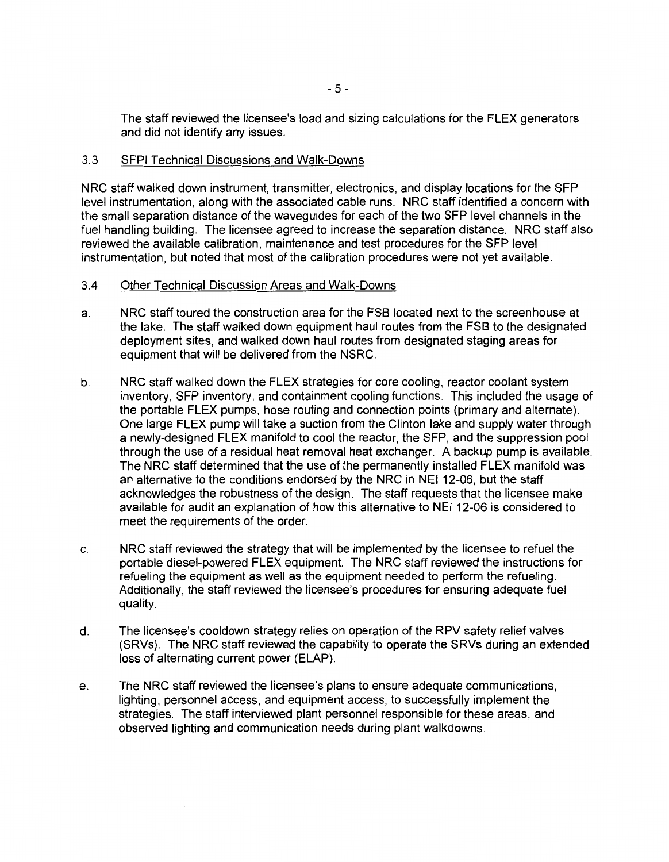The staff reviewed the licensee's load and sizing calculations for the FLEX generators and did not identify any issues.

#### 3.3 SFPI Technical Discussions and Walk-Downs

NRC staff walked down instrument, transmitter, electronics, and display locations for the SFP level instrumentation, along with the associated cable runs. NRC staff identified a concern with the small separation distance of the waveguides for each of the two SFP level channels in the fuel handling building. The licensee agreed to increase the separation distance. NRC staff also reviewed the available calibration, maintenance and test procedures for the SFP level instrumentation, but noted that most of the calibration procedures were not yet available.

#### 3.4 Other Technical Discussion Areas and Walk-Downs

- a. NRC staff toured the construction area for the FSB located next to the screen house at the lake. The staff walked down equipment haul routes from the FSB to the designated deployment sites, and walked down haul routes from designated staging areas for equipment that will be delivered from the NSRC.
- b. NRC staff walked down the FLEX strategies for core cooling, reactor coolant system inventory, SFP inventory, and containment cooling functions. This included the usage of the portable FLEX pumps, hose routing and connection points (primary and alternate). One large FLEX pump will take a suction from the Clinton lake and supply water through a newly-designed FLEX manifold to cool the reactor, the SFP, and the suppression pool through the use of a residual heat removal heat exchanger. A backup pump is available. The NRC staff determined that the use of the permanently installed FLEX manifold was an alternative to the conditions endorsed by the NRC in NEI 12-06, but the staff acknowledges the robustness of the design. The staff requests that the licensee make available for audit an explanation of how this alternative to NEI 12-06 is considered to meet the requirements of the order.
- c. NRC staff reviewed the strategy that will be implemented by the licensee to refuel the portable diesel-powered FLEX equipment. The NRC staff reviewed the instructions for refueling the equipment as well as the equipment needed to perform the refueling. Additionally, the staff reviewed the licensee's procedures for ensuring adequate fuel quality.
- d. The licensee's cooldown strategy relies on operation of the RPV safety relief valves (SRVs). The NRC staff reviewed the capability to operate the SRVs during an extended loss of alternating current power (ELAP).
- e. The NRC staff reviewed the licensee's plans to ensure adequate communications, lighting, personnel access, and equipment access, to successfully implement the strategies. The staff interviewed plant personnel responsible for these areas, and observed lighting and communication needs during plant walkdowns.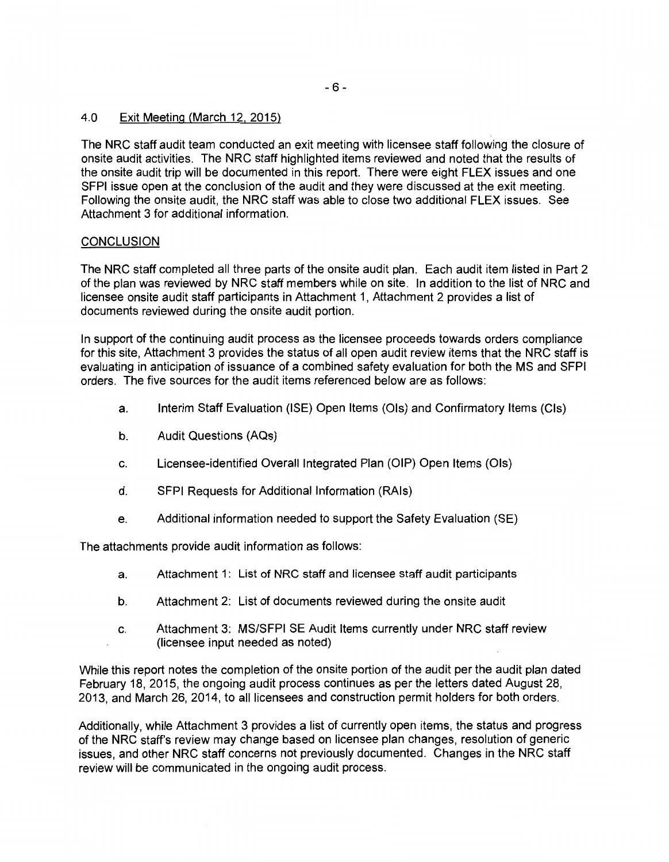#### 4.0 Exit Meeting (March 12. 2015)

The NRC staff audit team conducted an exit meeting with licensee staff following the closure of onsite audit activities. The NRC staff highlighted items reviewed and noted that the results of the onsite audit trip will be documented in this report. There were eight FLEX issues and one SFPI issue open at the conclusion of the audit and they were discussed at the exit meeting. Following the onsite audit, the NRC staff was able to close two additional FLEX issues. See Attachment 3 for additional information.

#### **CONCLUSION**

The NRC staff completed all three parts of the onsite audit plan. Each audit item listed in Part 2 of the plan was reviewed by NRC staff members while on site. In addition to the list of NRC and licensee onsite audit staff participants in Attachment 1, Attachment 2 provides a list of documents reviewed during the onsite audit portion.

In support of the continuing audit process as the licensee proceeds towards orders compliance for this site, Attachment 3 provides the status of all open audit review items that the NRC staff is evaluating in anticipation of issuance of a combined safety evaluation for both the MS and SFPI orders. The five sources for the audit items referenced below are as follows:

- a. Interim Staff Evaluation (ISE) Open Items (Ols) and Confirmatory Items (Cls)
- b. Audit Questions (AQs)
- c. Licensee-identified Overall Integrated Plan (OIP) Open Items (Ols)
- d. SFPI Requests for Additional Information (RAls)
- e. Additional information needed to support the Safety Evaluation (SE)

The attachments provide audit information as follows:

- a. Attachment 1: List of NRC staff and licensee staff audit participants
- b. Attachment 2: List of documents reviewed during the onsite audit
- c. Attachment 3: MS/SFPI SE Audit Items currently under NRC staff review (licensee input needed as noted)

While this report notes the completion of the onsite portion of the audit per the audit plan dated February 18, 2015, the ongoing audit process continues as per the letters dated August 28, 2013, and March 26, 2014, to all licensees and construction permit holders for both orders.

Additionally, while Attachment 3 provides a list of currently open items, the status and progress of the NRC staff's review may change based on licensee plan changes, resolution of generic issues, and other NRC staff concerns not previously documented. Changes in the NRC staff review will be communicated in the ongoing audit process.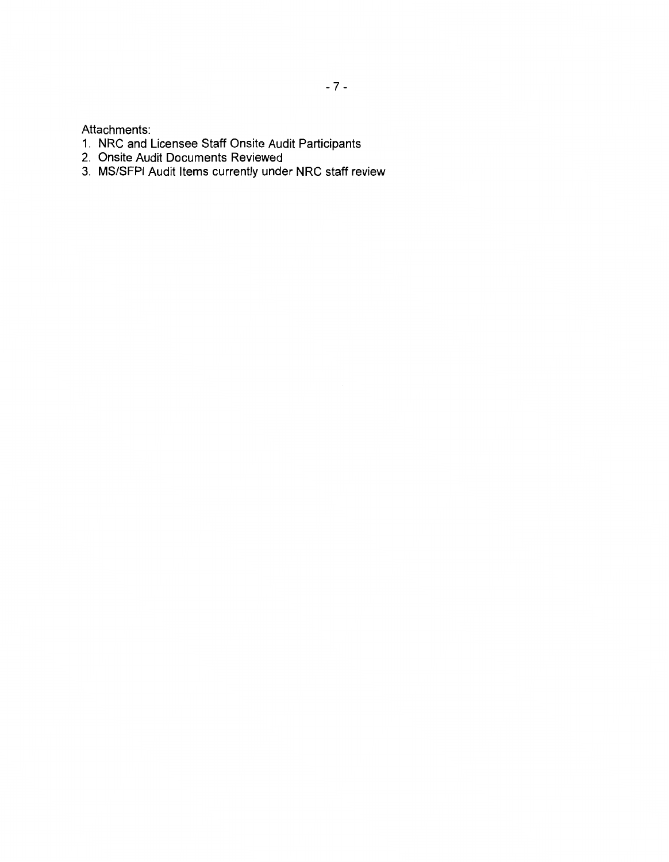Attachments:

- 1. NRC and Licensee Staff Onsite Audit Participants
- 2. Onsite Audit Documents Reviewed
- 3. MS/SFPI Audit Items currently under NRC staff review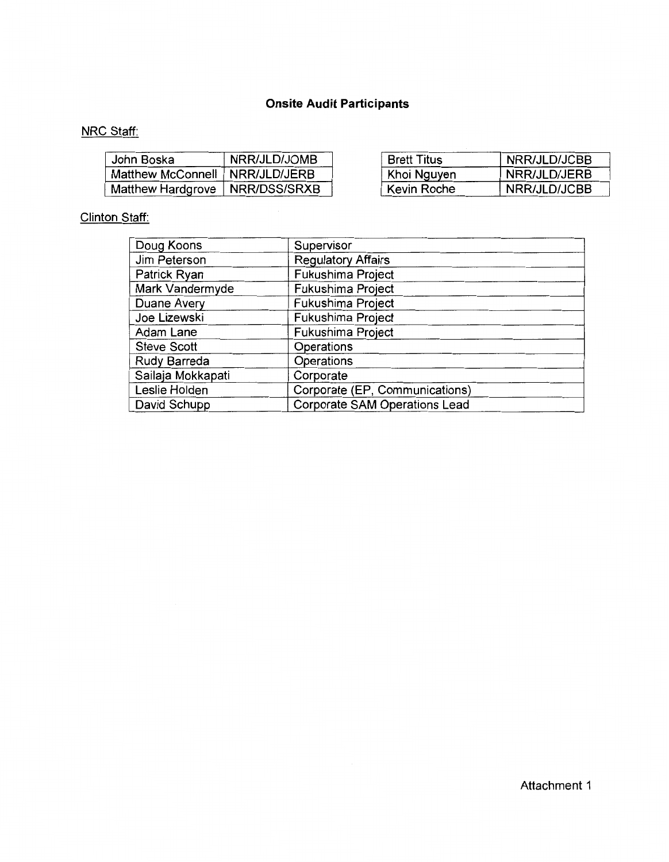# **Onsite Audit Participants**

# **NRC Staff:**

| John Boska                       | NRR/JLD/JOMB | <b>Brett Titus</b> | NRR/JLD/JCBB |
|----------------------------------|--------------|--------------------|--------------|
| Matthew McConnell   NRR/JLD/JERB |              | Khoi Nguyen        | NRR/JLD/JERB |
| Matthew Hardgrove                | NRR/DSS/SRXB | ` Kevin Roche      | NRR/JLD/JCBB |

# Clinton Staff:

| Doug Koons         | Supervisor                           |
|--------------------|--------------------------------------|
| Jim Peterson       | <b>Regulatory Affairs</b>            |
| Patrick Ryan       | Fukushima Project                    |
| Mark Vandermyde    | Fukushima Project                    |
| Duane Avery        | Fukushima Project                    |
| Joe Lizewski       | Fukushima Project                    |
| Adam Lane          | Fukushima Project                    |
| <b>Steve Scott</b> | Operations                           |
| Rudy Barreda       | Operations                           |
| Sailaja Mokkapati  | Corporate                            |
| Leslie Holden      | Corporate (EP, Communications)       |
| David Schupp       | <b>Corporate SAM Operations Lead</b> |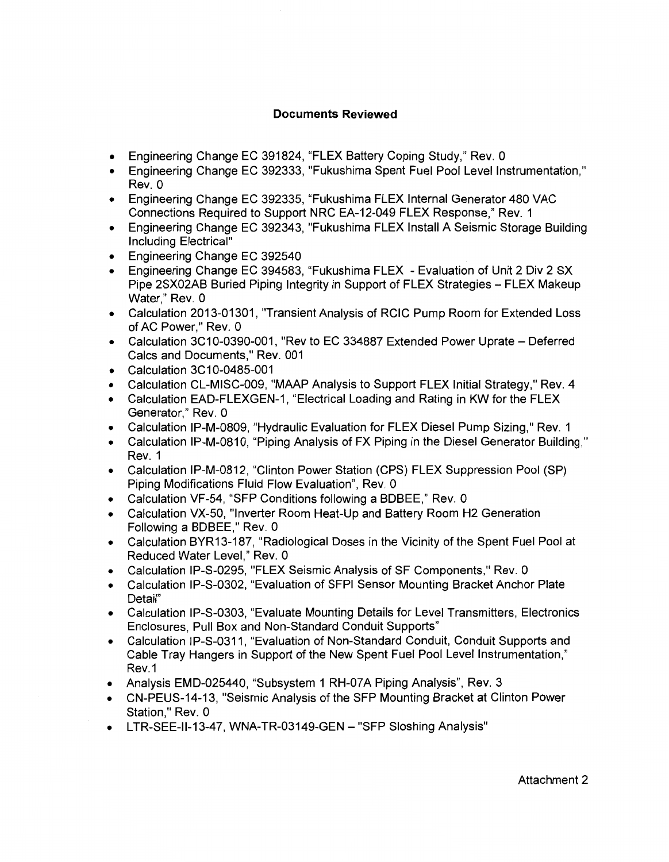## **Documents Reviewed**

- Engineering Change EC 391824, "FLEX Battery Coping Study," Rev. 0
- Engineering Change EC 392333, "Fukushima Spent Fuel Pool Level Instrumentation," Rev. 0
- Engineering Change EC 392335, "Fukushima FLEX Internal Generator 480 VAC Connections Required to Support NRC EA-12-049 FLEX Response,'' Rev. 1
- Engineering Change EC 392343, "Fukushima FLEX Install A Seismic Storage Building Including Electrical"
- Engineering Change EC 392540
- Engineering Change EC 394583, "Fukushima FLEX Evaluation of Unit 2 Div 2 SX Pipe 2SX02AB Buried Piping Integrity in Support of FLEX Strategies -- FLEX Makeup Water," Rev. 0
- Calculation 2013-01301, "Transient Analysis of RCIC Pump Room for Extended Loss of AC Power," Rev. 0
- Calculation 3C10-0390-001, "Rev to EC 334887 Extended Power Uprate Deferred Calcs and Documents," Rev. 001
- Calculation 3C10-0485-001
- Calculation CL-MISC-009, "MAAP Analysis to Support FLEX Initial Strategy," Rev. 4
- Calculation EAD-FLEXGEN-1, "Electrical Loading and Rating in KW for the FLEX Generator,'' Rev. O
- Calculation IP-M-0809, "Hydraulic Evaluation for FLEX Diesel Pump Sizing," Rev. 1
- Calculation IP-M-0810, "Piping Analysis of FX Piping in the Diesel Generator Building," Rev. 1
- Calculation IP-M-0812, "Clinton Power Station (CPS) FLEX Suppression Pool (SP) Piping Modifications Fluid Flow Evaluation'', Rev. 0
- Calculation VF-54, "SFP Conditions following a BDBEE," Rev. 0
- Calculation VX-50, "Inverter Room Heat-Up and Battery Room H2 Generation Following a BDBEE," Rev. 0
- Calculation BYR13-187, "Radiological Doses in the Vicinity of the Spent Fuel Pool at Reduced Water Level," Rev. 0
- Calculation IP-S-0295, "FLEX Seismic Analysis of SF Components," Rev. 0
- Calculation IP-S-0302, "Evaluation of SFPI Sensor Mounting Bracket Anchor Plate Detail"
- Calculation IP-S-0303, "Evaluate Mounting Details for Level Transmitters, Electronics Enclosures, Pull Box and Non-Standard Conduit Supports"
- Calculation IP-S-0311, "Evaluation of Non-Standard Conduit, Conduit Supports and Cable Tray Hangers in Support of the New Spent Fuel Pool Level Instrumentation," Rev.1
- Analysis EMD-025440, "Subsystem 1 RH-07A Piping Analysis", Rev. 3
- CN-PEUS-14-13, "Seismic Analysis of the SFP Mounting Bracket at Clinton Power Station," Rev. 0
- LTR-SEE-II-13-47, WNA-TR-03149-GEN "SFP Sloshing Analysis"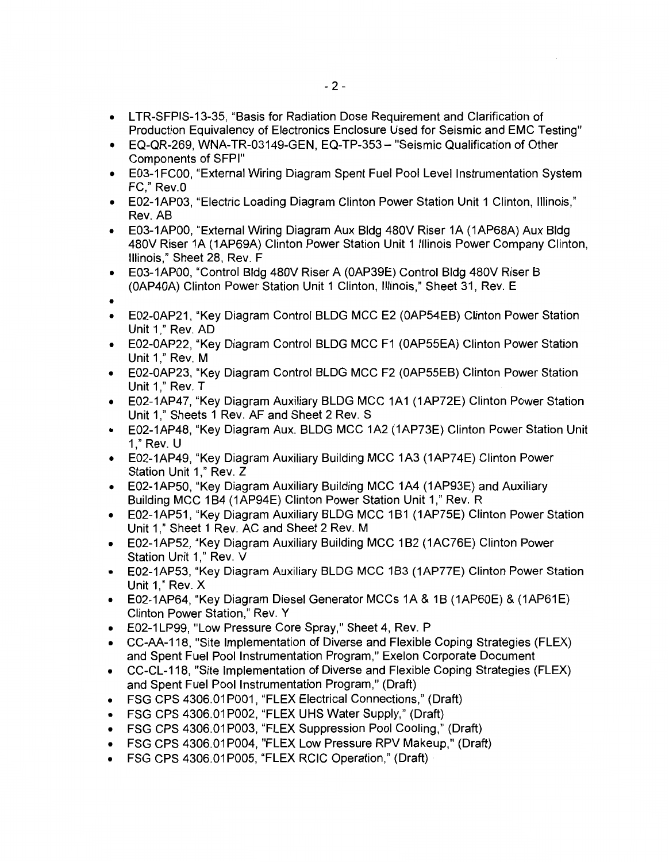- LTR-SFPIS-13-35, "Basis for Radiation Dose Requirement and Clarification of Production Equivalency of Electronics Enclosure Used for Seismic and EMC Testing"
- EQ-QR-269, WNA-TR-03149-GEN, EQ-TP-353- "Seismic Qualification of Other Components of SFPI"
- E03-1 FC00, "External Wiring Diagram Spent Fuel Pool Level Instrumentation System FC." Rev.0
- E02-1AP03, "Electric Loading Diagram Clinton Power Station Unit 1 Clinton, Illinois," Rev. AB
- E03-1APOO, "External Wiring Diagram Aux Bldg 480V Riser 1A (1AP68A) Aux Bldg 480V Riser 1A (1AP69A) Clinton Power Station Unit 1 Illinois Power Company Clinton, Illinois," Sheet 28, Rev. F
- E03-1APOO, "Control Bldg 480V Riser A (OAP39E) Control Bldg 480V Riser B (OAP40A) Clinton Power Station Unit 1 Clinton, Illinois," Sheet 31, Rev. E
- •
- E02-0AP21, "Key Diagram Control BLDG MCC E2 (OAP54EB) Clinton Power Station Unit 1," Rev. AD
- E02-0AP22, "Key Diagram Control BLDG MCC F1 (OAP55EA) Clinton Power Station Unit 1," Rev. M
- E02-0AP23, "Key Diagram Control BLDG MCC F2 (OAP55EB) Clinton Power Station Unit 1," Rev. T
- E02-1AP47, "Key Diagram Auxiliary BLDG MCC 1A1 (1AP72E) Clinton Power Station Unit 1," Sheets 1 Rev. AF and Sheet 2 Rev. S
- E02-1AP48, "Key Diagram Aux. BLDG MCC 1A2 (1AP73E) Clinton Power Station Unit 1," Rev. U
- E02-1AP49, "Key Diagram Auxiliary Building MCC 1A3 (1AP74E) Clinton Power Station Unit 1," Rev. Z
- E02-1AP50, "Key Diagram Auxiliary Building MCC 1A4 (1AP93E) and Auxiliary Building MCC 1B4 (1AP94E) Clinton Power Station Unit 1," Rev. R
- E02-1AP51, "Key Diagram Auxiliary BLDG MCC 1 B1 (1AP75E) Clinton Power Station Unit 1," Sheet 1 Rev. AC and Sheet 2 Rev. M
- E02-1AP52, "Key Diagram Auxiliary Building MCC 1 B2 (1AC76E) Clinton Power Station Unit 1," Rev. V
- E02-1AP53, "Key Diagram Auxiliary BLDG MCC 1B3 (1AP77E) Clinton Power Station Unit 1," Rev. X
- E02-1AP64, "Key Diagram Diesel Generator MCCs 1A & 1B (1AP60E) & (1AP61E) Clinton Power Station," Rev. Y
- E02-1 LP99, "Low Pressure Core Spray," Sheet 4, Rev. P
- CC-AA-118, "Site Implementation of Diverse and Flexible Coping Strategies (FLEX) and Spent Fuel Pool Instrumentation Program," Exelon Corporate Document
- CC-CL-118, "Site Implementation of Diverse and Flexible Coping Strategies (FLEX) and Spent Fuel Pool Instrumentation Program," (Draft)
- FSG CPS 4306.01P001, "FLEX Electrical Connections," (Draft)
- FSG CPS 4306.01 P002, "FLEX UHS Water Supply," (Draft)
- FSG CPS 4306.01P003, "FLEX Suppression Pool Cooling," (Draft)
- FSG CPS 4306.01P004, "FLEX Low Pressure RPV Makeup," (Draft)
- FSG CPS 4306.01P005, "FLEX RCIC Operation," (Draft)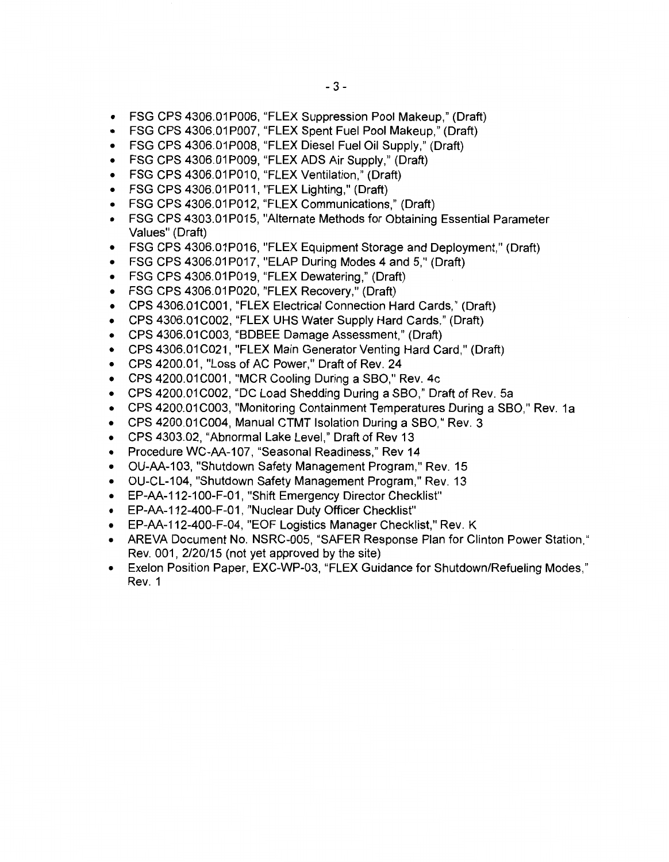- FSG CPS 4306.01 P006, "FLEX Suppression Pool Makeup," (Draft)
- FSG CPS 4306.01 P007, "FLEX Spent Fuel Pool Makeup," (Draft)
- FSG CPS 4306.01 P008, "FLEX Diesel Fuel Oil Supply," (Draft)
- FSG CPS 4306.01P009, "FLEX ADS Air Supply," (Draft)
- FSG CPS 4306.01P010, "FLEX Ventilation," (Draft)
- $\bullet$  FSG CPS 4306.01 P011, "FLEX Lighting," (Draft)
- FSG CPS 4306.01P012, "FLEX Communications," (Draft)
- FSG CPS 4303.01P015, "Alternate Methods for Obtaining Essential Parameter Values" (Draft)
- FSG CPS 4306.01P016, "FLEX Equipment Storage and Deployment," (Draft)
- FSG CPS 4306.01P017, "ELAP During Modes 4 and 5," (Draft)
- FSG CPS 4306.01P019, "FLEX Dewatering," (Draft)
- FSG CPS 4306.01P020, "FLEX Recovery," (Draft)
- CPS 4306.01C001, "FLEX Electrical Connection Hard Cards," (Draft)
- CPS 4306.01 C002, "FLEX UHS Water Supply Hard Cards,'' (Draft)
- CPS 4306.01C003, "BDBEE Damage Assessment," (Draft)
- CPS 4306.01 C021, "FLEX Main Generator Venting Hard Card," (Draft)
- CPS 4200.01, "Loss of AC Power," Draft of Rev. 24
- CPS 4200.01C001, "MCR Cooling During a SBO," Rev. 4c
- CPS 4200.01 C002, "DC Load Shedding During a SBO," Draft of Rev. 5a
- CPS 4200.01 C003, "Monitoring Containment Temperatures During a SBO," Rev. 1a
- CPS 4200.01C004, Manual CTMT Isolation During a SBO," Rev. 3
- CPS 4303.02, "Abnormal Lake Level,'' Draft of Rev 13
- Procedure WC-AA-107, "Seasonal Readiness," Rev 14
- OU-AA-103, "Shutdown Safety Management Program," Rev. 15
- OU-CL-104, "Shutdown Safety Management Program," Rev. 13
- EP-AA-112-100-F-01, "Shift Emergency Director Checklist"
- EP-AA-112-400-F-01, "Nuclear Duty Officer Checklist"
- EP-AA-112-400-F-04, "EOF Logistics Manager Checklist," Rev. K
- AREVA Document No. NSRC-005, "SAFER Response Plan for Clinton Power Station," Rev. 001, 2/20/15 (not yet approved by the site)
- Exelon Position Paper, EXC-WP-03, "FLEX Guidance for Shutdown/Refueling Modes," Rev. 1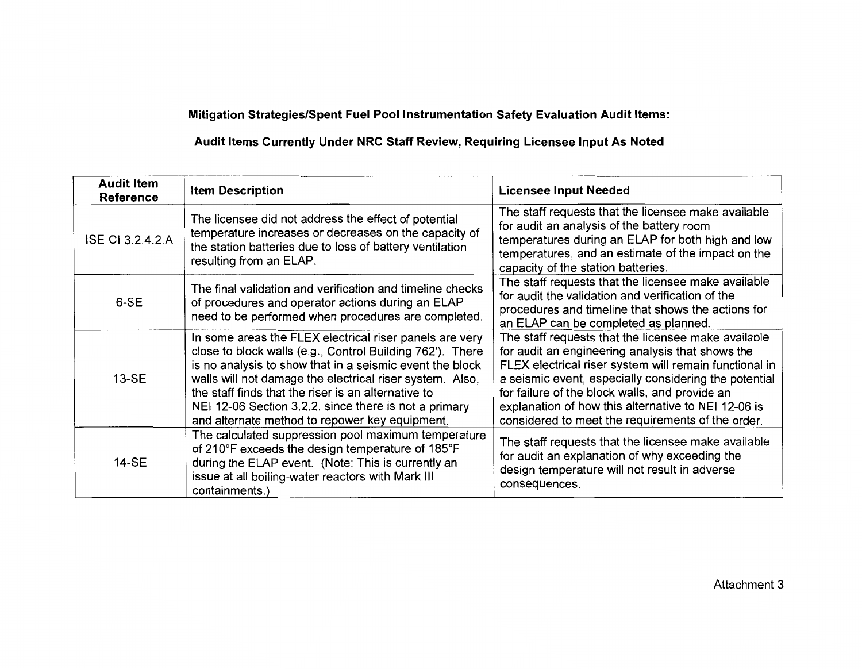# Mitigation Strategies/Spent Fuel Pool Instrumentation Safety Evaluation Audit Items:

# Audit Items Currently Under NRC Staff Review, Requiring Licensee Input As Noted

| <b>Audit Item</b><br>Reference | <b>Item Description</b>                                                                                                                                                                                                                                                                                                                                                                                        | <b>Licensee Input Needed</b>                                                                                                                                                                                                                                                                                                                                                             |
|--------------------------------|----------------------------------------------------------------------------------------------------------------------------------------------------------------------------------------------------------------------------------------------------------------------------------------------------------------------------------------------------------------------------------------------------------------|------------------------------------------------------------------------------------------------------------------------------------------------------------------------------------------------------------------------------------------------------------------------------------------------------------------------------------------------------------------------------------------|
| <b>ISE CI 3.2.4.2.A</b>        | The licensee did not address the effect of potential<br>temperature increases or decreases on the capacity of<br>the station batteries due to loss of battery ventilation<br>resulting from an ELAP.                                                                                                                                                                                                           | The staff requests that the licensee make available<br>for audit an analysis of the battery room<br>temperatures during an ELAP for both high and low<br>temperatures, and an estimate of the impact on the<br>capacity of the station batteries.                                                                                                                                        |
| 6-SE                           | The final validation and verification and timeline checks<br>of procedures and operator actions during an ELAP<br>need to be performed when procedures are completed.                                                                                                                                                                                                                                          | The staff requests that the licensee make available<br>for audit the validation and verification of the<br>procedures and timeline that shows the actions for<br>an ELAP can be completed as planned.                                                                                                                                                                                    |
| 13-SE                          | In some areas the FLEX electrical riser panels are very<br>close to block walls (e.g., Control Building 762'). There<br>is no analysis to show that in a seismic event the block<br>walls will not damage the electrical riser system. Also,<br>the staff finds that the riser is an alternative to<br>NEI 12-06 Section 3.2.2, since there is not a primary<br>and alternate method to repower key equipment. | The staff requests that the licensee make available<br>for audit an engineering analysis that shows the<br>FLEX electrical riser system will remain functional in<br>a seismic event, especially considering the potential<br>for failure of the block walls, and provide an<br>explanation of how this alternative to NEI 12-06 is<br>considered to meet the requirements of the order. |
| 14-SE                          | The calculated suppression pool maximum temperature<br>of 210°F exceeds the design temperature of 185°F<br>during the ELAP event. (Note: This is currently an<br>issue at all boiling-water reactors with Mark III<br>containments.)                                                                                                                                                                           | The staff requests that the licensee make available<br>for audit an explanation of why exceeding the<br>design temperature will not result in adverse<br>consequences.                                                                                                                                                                                                                   |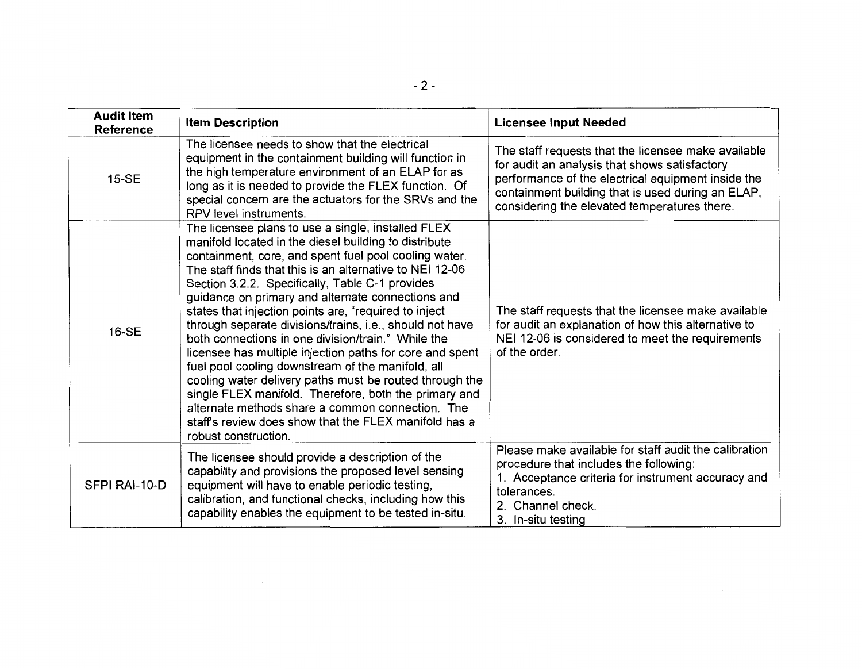| <b>Audit Item</b><br><b>Reference</b> | <b>Item Description</b>                                                                                                                                                                                                                                                                                                                                                                                                                                                                                                                                                                                                                                                                                                                                                                                                                                                                       | <b>Licensee Input Needed</b>                                                                                                                                                                                                                                    |
|---------------------------------------|-----------------------------------------------------------------------------------------------------------------------------------------------------------------------------------------------------------------------------------------------------------------------------------------------------------------------------------------------------------------------------------------------------------------------------------------------------------------------------------------------------------------------------------------------------------------------------------------------------------------------------------------------------------------------------------------------------------------------------------------------------------------------------------------------------------------------------------------------------------------------------------------------|-----------------------------------------------------------------------------------------------------------------------------------------------------------------------------------------------------------------------------------------------------------------|
| <b>15-SE</b>                          | The licensee needs to show that the electrical<br>equipment in the containment building will function in<br>the high temperature environment of an ELAP for as<br>long as it is needed to provide the FLEX function. Of<br>special concern are the actuators for the SRVs and the<br>RPV level instruments.                                                                                                                                                                                                                                                                                                                                                                                                                                                                                                                                                                                   | The staff requests that the licensee make available<br>for audit an analysis that shows satisfactory<br>performance of the electrical equipment inside the<br>containment building that is used during an ELAP,<br>considering the elevated temperatures there. |
| 16-SE                                 | The licensee plans to use a single, installed FLEX<br>manifold located in the diesel building to distribute<br>containment, core, and spent fuel pool cooling water.<br>The staff finds that this is an alternative to NEI 12-06<br>Section 3.2.2. Specifically, Table C-1 provides<br>guidance on primary and alternate connections and<br>states that injection points are, "required to inject<br>through separate divisions/trains, i.e., should not have<br>both connections in one division/train." While the<br>licensee has multiple injection paths for core and spent<br>fuel pool cooling downstream of the manifold, all<br>cooling water delivery paths must be routed through the<br>single FLEX manifold. Therefore, both the primary and<br>alternate methods share a common connection. The<br>staff's review does show that the FLEX manifold has a<br>robust construction. | The staff requests that the licensee make available<br>for audit an explanation of how this alternative to<br>NEI 12-06 is considered to meet the requirements<br>of the order.                                                                                 |
| SFPI RAI-10-D                         | The licensee should provide a description of the<br>capability and provisions the proposed level sensing<br>equipment will have to enable periodic testing,<br>calibration, and functional checks, including how this<br>capability enables the equipment to be tested in-situ.                                                                                                                                                                                                                                                                                                                                                                                                                                                                                                                                                                                                               | Please make available for staff audit the calibration<br>procedure that includes the following:<br>1. Acceptance criteria for instrument accuracy and<br>tolerances.<br>2. Channel check.<br>3. In-situ testing                                                 |

 $\mathcal{L}^{\text{max}}_{\text{max}}$  and  $\mathcal{L}^{\text{max}}_{\text{max}}$